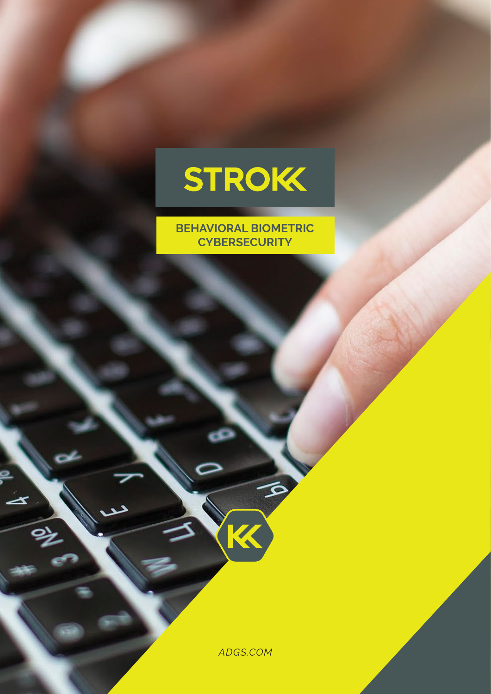

**BEHAVIORAL BIOMETRIC CYBERSECURITY**

*ADGS.COM*

K

 $\infty$ 

 $\blacktriangleright$ 

్త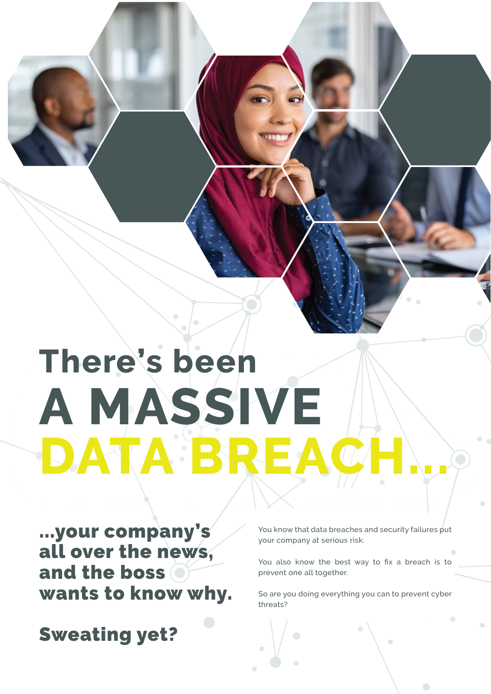# **A MASSIVE DATA BREAC There's been**

...your company's all over the news, and the boss wants to know why.

Sweating yet?

You know that data breaches and security failures put your company at serious risk.

You also know the best way to fix a breach is to prevent one all together.

So are you doing everything you can to prevent cyber threats?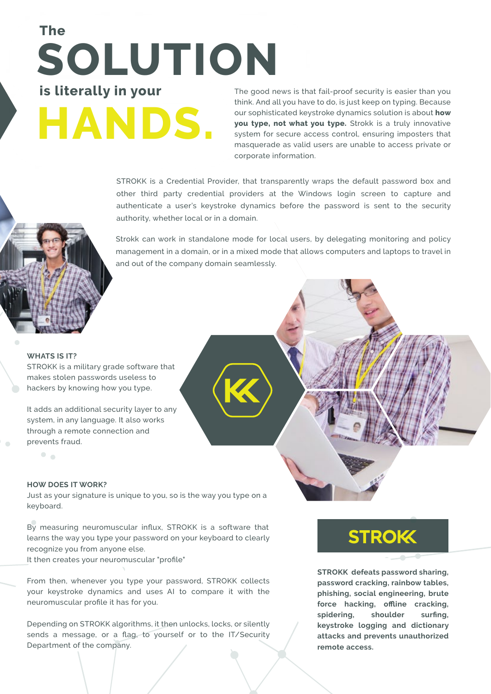## **HANDS. SOLUTION is literally in your The**

The good news is that fail-proof security is easier than you think. And all you have to do, is just keep on typing. Because our sophisticated keystroke dynamics solution is about **how you type, not what you type.** Strokk is a truly innovative system for secure access control, ensuring imposters that masquerade as valid users are unable to access private or corporate information.

STROKK is a Credential Provider, that transparently wraps the default password box and other third party credential providers at the Windows login screen to capture and authenticate a user's keystroke dynamics before the password is sent to the security authority, whether local or in a domain.

Strokk can work in standalone mode for local users, by delegating monitoring and policy management in a domain, or in a mixed mode that allows computers and laptops to travel in and out of the company domain seamlessly.

#### **WHATS IS IT?**

 $\bullet$ 

STROKK is a military grade software that makes stolen passwords useless to hackers by knowing how you type.

It adds an additional security layer to any system, in any language. It also works through a remote connection and prevents fraud.

#### **HOW DOES IT WORK?**

Just as your signature is unique to you, so is the way you type on a keyboard.

By measuring neuromuscular influx, STROKK is a software that learns the way you type your password on your keyboard to clearly recognize you from anyone else.

It then creates your neuromuscular "profile"

From then, whenever you type your password, STROKK collects your keystroke dynamics and uses AI to compare it with the neuromuscular profile it has for you.

Depending on STROKK algorithms, it then unlocks, locks, or silently sends a message, or a flag, to yourself or to the IT/Security Department of the company.

## **STROK**

**STROKK defeats password sharing, password cracking, rainbow tables, phishing, social engineering, brute force hacking, offline cracking, spidering, shoulder surfing, keystroke logging and dictionary attacks and prevents unauthorized remote access.**